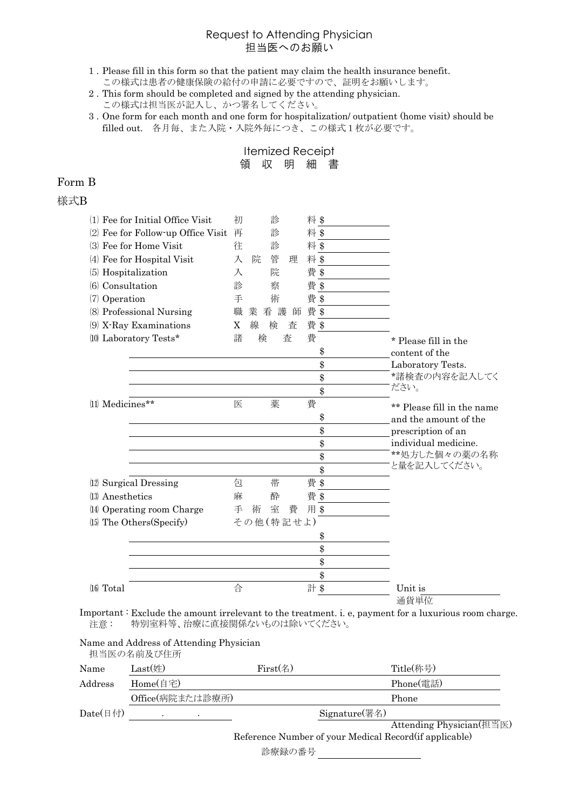### Request to Attending Physician 担当医へのお願い

- 1 . Please fill in this form so that the patient may claim the health insurance benefit. この様式は患者の健康保険の給付の申請に必要ですので、証明をお願いします。
- 2 . This form should be completed and signed by the attending physician. この様式は担当医が記入し、かつ署名してください。
- 3 . One form for each month and one form for hospitalization/ outpatient (home visit) should be filled out. 各月毎、また入院・入院外毎につき、この様式1枚が必要です。

Itemized Receipt 領 収 明 細 書

## Form B

#### 様式B

| $(1)$ Fee for Initial Office Visit    | 初<br>診           | 料\$       |                            |
|---------------------------------------|------------------|-----------|----------------------------|
| Fee for Follow-up Office Visit<br>(2) | 診<br>再           | 料\$       |                            |
| Fee for Home Visit<br>(3)             | 診<br>往           | 料\$       |                            |
| $(4)$ Fee for Hospital Visit          | 管<br>入<br>院<br>理 | 料\$       |                            |
| (5) Hospitalization                   | 院<br>入           | 費 \$      |                            |
| (6) Consultation                      | 診<br>蔡           | 費 \$      |                            |
| $(7)$ Operation                       | 手<br>術           | 費 \$      |                            |
| (8) Professional Nursing              | 職<br>看 護<br>業    | 費 \$<br>師 |                            |
| (9) X-Ray Examinations                | 線<br>X<br>検<br>査 | 費 \$      |                            |
| (10) Laboratory Tests*                | 諸<br>検<br>査      | 費         | * Please fill in the       |
|                                       |                  | \$        | content of the             |
|                                       |                  | \$        | Laboratory Tests.          |
|                                       |                  | \$        | *諸検査の内容を記入してく              |
|                                       |                  | \$        | ださい。                       |
| (11) Medicines**                      | 薬<br>医           | 費         | ** Please fill in the name |
|                                       |                  | \$        | and the amount of the      |
|                                       |                  | \$        | prescription of an         |
|                                       |                  | \$        | individual medicine.       |
|                                       |                  | \$        | **処方した個々の薬の名称              |
|                                       |                  | \$        | と量を記入してください。               |
| (12) Surgical Dressing                | 帯<br>包           | 費 \$      |                            |
| (13) Anesthetics                      | 麻<br>酔           | 費 \$      |                            |
| (14) Operating room Charge            | 室<br>費<br>手<br>術 | 用\$       |                            |
| (15) The Others (Specify)             | その他(特記せよ)        |           |                            |
|                                       |                  | \$        |                            |
|                                       |                  | \$        |                            |
|                                       |                  | \$        |                            |
|                                       |                  | \$        |                            |
| $(16)$ Total                          | 合                | 計 \$      | Unit is                    |
|                                       |                  |           | 通貨単位                       |

Important : Exclude the amount irrelevant to the treatment. i. e, payment for a luxurious room charge. 注意 : 特別室料等、治療に直接関係ないものは除いてください。

#### Name and Address of Attending Physician 担当医の名前及び住所

| Name                     | $Last$ (姓)                                              | First(4) | Title(称号)                |  |  |
|--------------------------|---------------------------------------------------------|----------|--------------------------|--|--|
| Address                  | Home(自宅)                                                |          | Phone(電話)                |  |  |
|                          | Office(病院または診療所)                                        |          | Phone                    |  |  |
| Date $(\exists \forall)$ | $\bullet$                                               |          | $Signature$ (署名)         |  |  |
|                          |                                                         |          | Attending Physician(担当医) |  |  |
|                          | Reference Number of your Medical Record (if applicable) |          |                          |  |  |
|                          |                                                         | 診療録の番号   |                          |  |  |